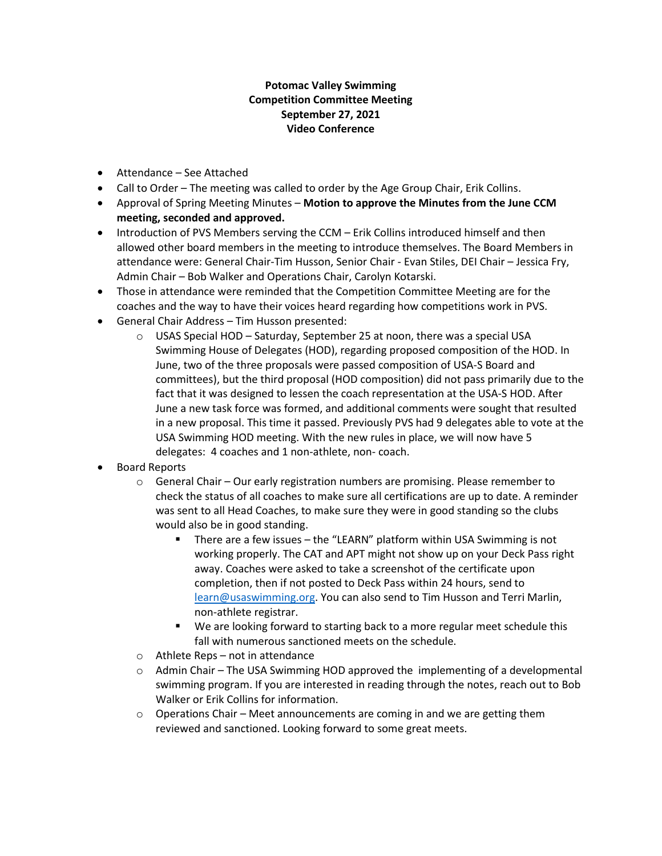## **Potomac Valley Swimming Competition Committee Meeting September 27, 2021 Video Conference**

- Attendance See Attached
- Call to Order The meeting was called to order by the Age Group Chair, Erik Collins.
- Approval of Spring Meeting Minutes **Motion to approve the Minutes from the June CCM meeting, seconded and approved.**
- Introduction of PVS Members serving the CCM Erik Collins introduced himself and then allowed other board members in the meeting to introduce themselves. The Board Members in attendance were: General Chair-Tim Husson, Senior Chair - Evan Stiles, DEI Chair – Jessica Fry, Admin Chair – Bob Walker and Operations Chair, Carolyn Kotarski.
- Those in attendance were reminded that the Competition Committee Meeting are for the coaches and the way to have their voices heard regarding how competitions work in PVS.
- General Chair Address Tim Husson presented:
	- $\circ$  USAS Special HOD Saturday, September 25 at noon, there was a special USA Swimming House of Delegates (HOD), regarding proposed composition of the HOD. In June, two of the three proposals were passed composition of USA-S Board and committees), but the third proposal (HOD composition) did not pass primarily due to the fact that it was designed to lessen the coach representation at the USA-S HOD. After June a new task force was formed, and additional comments were sought that resulted in a new proposal. This time it passed. Previously PVS had 9 delegates able to vote at the USA Swimming HOD meeting. With the new rules in place, we will now have 5 delegates: 4 coaches and 1 non-athlete, non- coach.
- Board Reports
	- $\circ$  General Chair Our early registration numbers are promising. Please remember to check the status of all coaches to make sure all certifications are up to date. A reminder was sent to all Head Coaches, to make sure they were in good standing so the clubs would also be in good standing.
		- There are a few issues the "LEARN" platform within USA Swimming is not working properly. The CAT and APT might not show up on your Deck Pass right away. Coaches were asked to take a screenshot of the certificate upon completion, then if not posted to Deck Pass within 24 hours, send to [learn@usaswimming.org.](mailto:learn@usaswimming.org) You can also send to Tim Husson and Terri Marlin, non-athlete registrar.
		- We are looking forward to starting back to a more regular meet schedule this fall with numerous sanctioned meets on the schedule.
	- o Athlete Reps not in attendance
	- o Admin Chair The USA Swimming HOD approved the implementing of a developmental swimming program. If you are interested in reading through the notes, reach out to Bob Walker or Erik Collins for information.
	- $\circ$  Operations Chair Meet announcements are coming in and we are getting them reviewed and sanctioned. Looking forward to some great meets.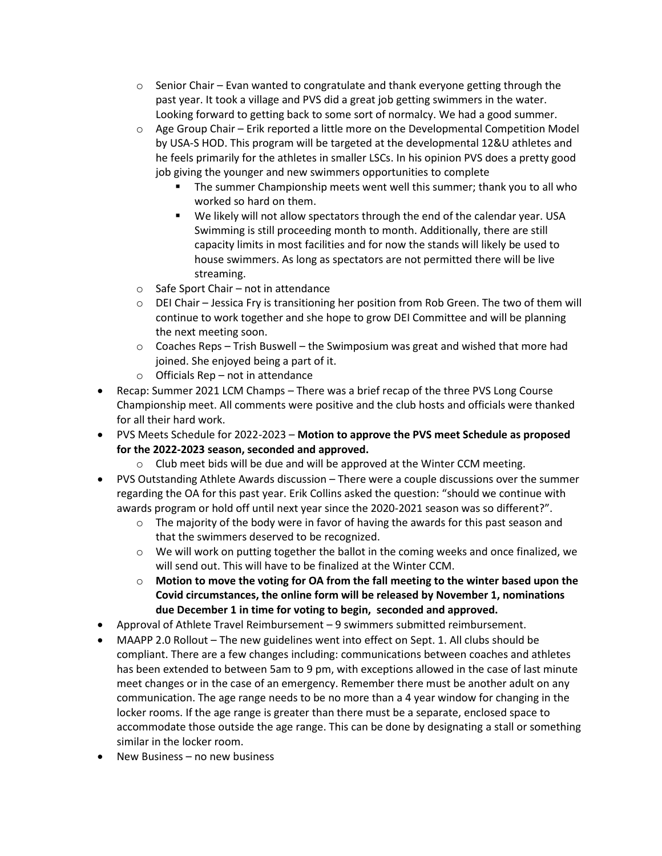- $\circ$  Senior Chair Evan wanted to congratulate and thank everyone getting through the past year. It took a village and PVS did a great job getting swimmers in the water. Looking forward to getting back to some sort of normalcy. We had a good summer.
- $\circ$  Age Group Chair Erik reported a little more on the Developmental Competition Model by USA-S HOD. This program will be targeted at the developmental 12&U athletes and he feels primarily for the athletes in smaller LSCs. In his opinion PVS does a pretty good job giving the younger and new swimmers opportunities to complete
	- The summer Championship meets went well this summer; thank you to all who worked so hard on them.
	- We likely will not allow spectators through the end of the calendar year. USA Swimming is still proceeding month to month. Additionally, there are still capacity limits in most facilities and for now the stands will likely be used to house swimmers. As long as spectators are not permitted there will be live streaming.
- o Safe Sport Chair not in attendance
- $\circ$  DEI Chair Jessica Fry is transitioning her position from Rob Green. The two of them will continue to work together and she hope to grow DEI Committee and will be planning the next meeting soon.
- $\circ$  Coaches Reps Trish Buswell the Swimposium was great and wished that more had joined. She enjoyed being a part of it.
- $\circ$  Officials Rep not in attendance
- Recap: Summer 2021 LCM Champs There was a brief recap of the three PVS Long Course Championship meet. All comments were positive and the club hosts and officials were thanked for all their hard work.
- PVS Meets Schedule for 2022-2023 **Motion to approve the PVS meet Schedule as proposed for the 2022-2023 season, seconded and approved.** 
	- o Club meet bids will be due and will be approved at the Winter CCM meeting.
- PVS Outstanding Athlete Awards discussion There were a couple discussions over the summer regarding the OA for this past year. Erik Collins asked the question: "should we continue with awards program or hold off until next year since the 2020-2021 season was so different?".
	- $\circ$  The majority of the body were in favor of having the awards for this past season and that the swimmers deserved to be recognized.
	- $\circ$  We will work on putting together the ballot in the coming weeks and once finalized, we will send out. This will have to be finalized at the Winter CCM.
	- o **Motion to move the voting for OA from the fall meeting to the winter based upon the Covid circumstances, the online form will be released by November 1, nominations due December 1 in time for voting to begin, seconded and approved.**
- Approval of Athlete Travel Reimbursement 9 swimmers submitted reimbursement.
- MAAPP 2.0 Rollout The new guidelines went into effect on Sept. 1. All clubs should be compliant. There are a few changes including: communications between coaches and athletes has been extended to between 5am to 9 pm, with exceptions allowed in the case of last minute meet changes or in the case of an emergency. Remember there must be another adult on any communication. The age range needs to be no more than a 4 year window for changing in the locker rooms. If the age range is greater than there must be a separate, enclosed space to accommodate those outside the age range. This can be done by designating a stall or something similar in the locker room.
- New Business no new business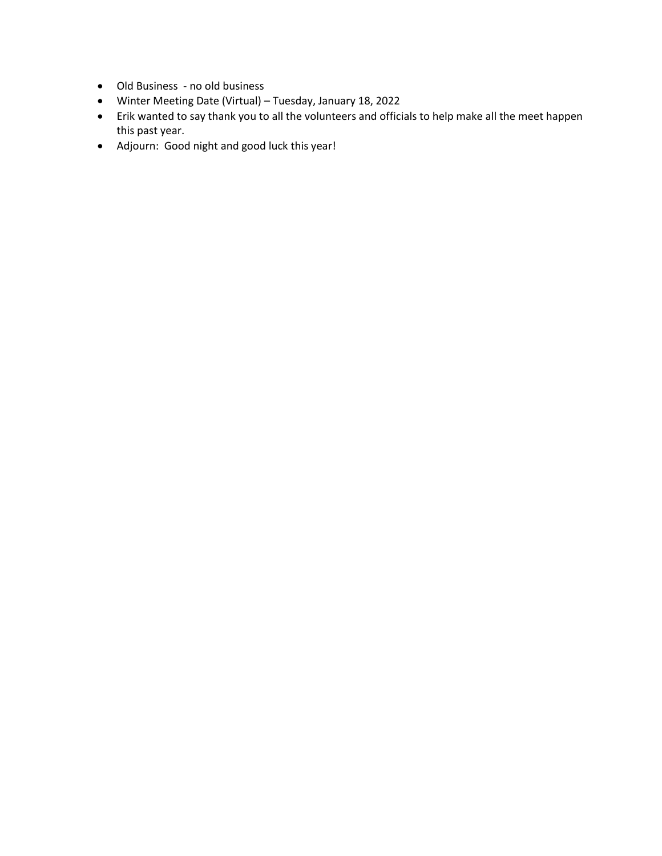- Old Business no old business
- Winter Meeting Date (Virtual) Tuesday, January 18, 2022
- Erik wanted to say thank you to all the volunteers and officials to help make all the meet happen this past year.
- Adjourn: Good night and good luck this year!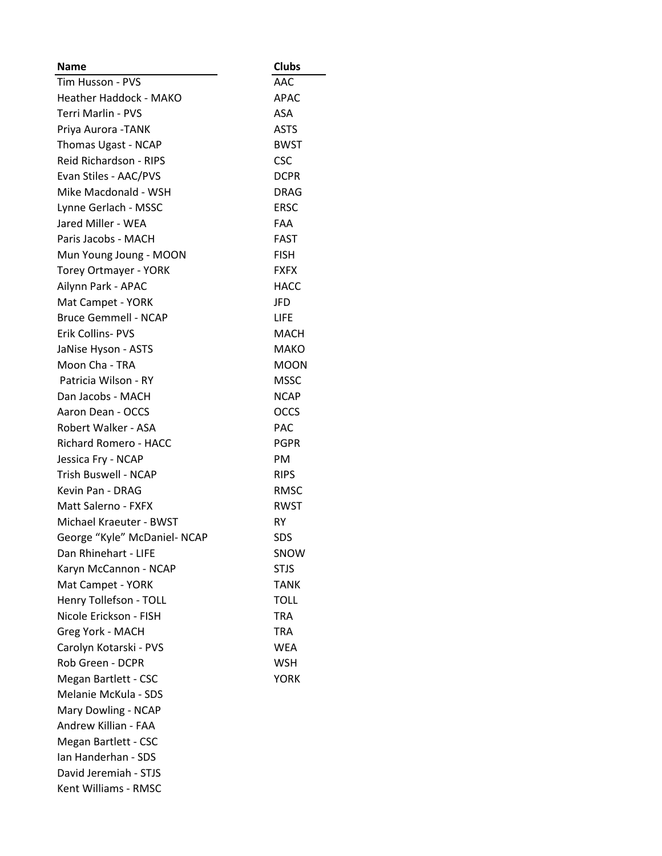| <b>Name</b>                   | <b>Clubs</b> |
|-------------------------------|--------------|
| Tim Husson - PVS              | AAC          |
| <b>Heather Haddock - MAKO</b> | APAC         |
| Terri Marlin - PVS            | ASA          |
| Priya Aurora - TANK           | <b>ASTS</b>  |
| Thomas Ugast - NCAP           | <b>BWST</b>  |
| Reid Richardson - RIPS        | <b>CSC</b>   |
| Evan Stiles - AAC/PVS         | <b>DCPR</b>  |
| Mike Macdonald - WSH          | <b>DRAG</b>  |
| Lynne Gerlach - MSSC          | <b>ERSC</b>  |
| Jared Miller - WEA            | <b>FAA</b>   |
| Paris Jacobs - MACH           | FAST         |
| Mun Young Joung - MOON        | <b>FISH</b>  |
| <b>Torey Ortmayer - YORK</b>  | <b>FXFX</b>  |
| Ailynn Park - APAC            | <b>HACC</b>  |
| Mat Campet - YORK             | JFD          |
| <b>Bruce Gemmell - NCAP</b>   | LIFE         |
| Erik Collins- PVS             | MACH         |
| JaNise Hyson - ASTS           | <b>MAKO</b>  |
| Moon Cha - TRA                | <b>MOON</b>  |
| Patricia Wilson - RY          | MSSC         |
| Dan Jacobs - MACH             | <b>NCAP</b>  |
| Aaron Dean - OCCS             | <b>OCCS</b>  |
| Robert Walker - ASA           | <b>PAC</b>   |
| Richard Romero - HACC         | <b>PGPR</b>  |
| Jessica Fry - NCAP            | PM           |
| <b>Trish Buswell - NCAP</b>   | <b>RIPS</b>  |
| Kevin Pan - DRAG              | RMSC         |
| Matt Salerno - FXFX           | <b>RWST</b>  |
| Michael Kraeuter - BWST       | RY           |
| George "Kyle" McDaniel- NCAP  | SDS          |
| Dan Rhinehart - LIFE          | SNOW         |
| Karyn McCannon - NCAP         | STJS         |
| Mat Campet - YORK             | <b>TANK</b>  |
| Henry Tollefson - TOLL        | <b>TOLL</b>  |
| Nicole Erickson - FISH        | <b>TRA</b>   |
| Greg York - MACH              | <b>TRA</b>   |
| Carolyn Kotarski - PVS        | WEA          |
| Rob Green - DCPR              | <b>WSH</b>   |
| Megan Bartlett - CSC          | <b>YORK</b>  |
| Melanie McKula - SDS          |              |
| Mary Dowling - NCAP           |              |
| Andrew Killian - FAA          |              |
| Megan Bartlett - CSC          |              |
| Ian Handerhan - SDS           |              |
| David Jeremiah - STJS         |              |
| Kent Williams - RMSC          |              |
|                               |              |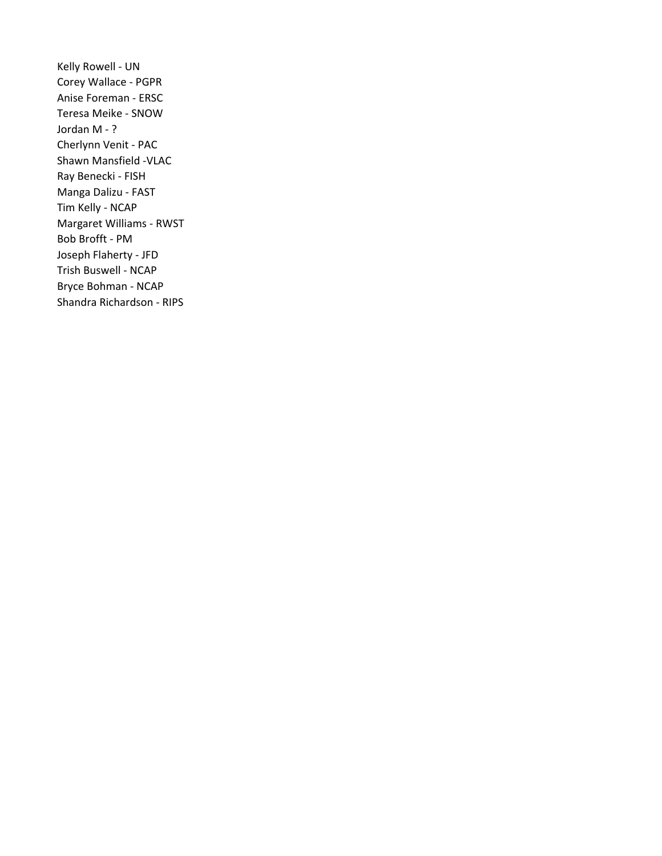Kelly Rowell - UN Corey Wallace - PGPR Anise Foreman - ERSC Teresa Meike - SNOW Jordan M - ? Cherlynn Venit - PAC Shawn Mansfield -VLAC Ray Benecki - FISH Manga Dalizu - FAST Tim Kelly - NCAP Margaret Williams - RWST Bob Brofft - PM Joseph Flaherty - JFD Trish Buswell - NCAP Bryce Bohman - NCAP Shandra Richardson - RIPS